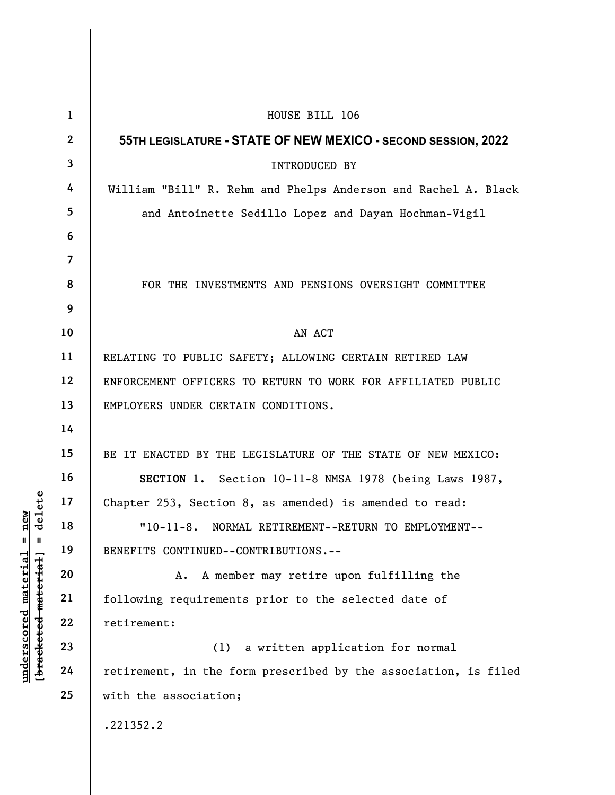| delete<br>new<br>$\mathbf{u}$<br>Ш<br>$underscored$ material<br>[ <del>bracketed material</del> ] | $\mathbf{1}$    | HOUSE BILL 106                                                  |
|---------------------------------------------------------------------------------------------------|-----------------|-----------------------------------------------------------------|
|                                                                                                   | $\mathbf{2}$    | 55TH LEGISLATURE - STATE OF NEW MEXICO - SECOND SESSION, 2022   |
|                                                                                                   | $\mathbf{3}$    | INTRODUCED BY                                                   |
|                                                                                                   | $\overline{4}$  | William "Bill" R. Rehm and Phelps Anderson and Rachel A. Black  |
|                                                                                                   | $5\overline{)}$ | and Antoinette Sedillo Lopez and Dayan Hochman-Vigil            |
|                                                                                                   | 6               |                                                                 |
|                                                                                                   | $\overline{7}$  |                                                                 |
|                                                                                                   | 8               | FOR THE INVESTMENTS AND PENSIONS OVERSIGHT COMMITTEE            |
|                                                                                                   | 9               |                                                                 |
|                                                                                                   | 10              | AN ACT                                                          |
|                                                                                                   | 11              | RELATING TO PUBLIC SAFETY; ALLOWING CERTAIN RETIRED LAW         |
|                                                                                                   | 12              | ENFORCEMENT OFFICERS TO RETURN TO WORK FOR AFFILIATED PUBLIC    |
|                                                                                                   | 13              | EMPLOYERS UNDER CERTAIN CONDITIONS.                             |
|                                                                                                   | 14              |                                                                 |
|                                                                                                   | 15              | BE IT ENACTED BY THE LEGISLATURE OF THE STATE OF NEW MEXICO:    |
|                                                                                                   | 16              | SECTION 1. Section 10-11-8 NMSA 1978 (being Laws 1987,          |
|                                                                                                   | 17              | Chapter 253, Section 8, as amended) is amended to read:         |
|                                                                                                   | 18              | "10-11-8. NORMAL RETIREMENT--RETURN TO EMPLOYMENT--             |
|                                                                                                   | 19              | BENEFITS CONTINUED--CONTRIBUTIONS.--                            |
|                                                                                                   | 20              | A member may retire upon fulfilling the<br>Α.                   |
|                                                                                                   | 21              | following requirements prior to the selected date of            |
|                                                                                                   | 22              | retirement:                                                     |
|                                                                                                   | 23              | a written application for normal<br>(1)                         |
|                                                                                                   | 24              | retirement, in the form prescribed by the association, is filed |
|                                                                                                   | 25              | with the association;                                           |
|                                                                                                   |                 | .221352.2                                                       |
|                                                                                                   |                 |                                                                 |
|                                                                                                   |                 |                                                                 |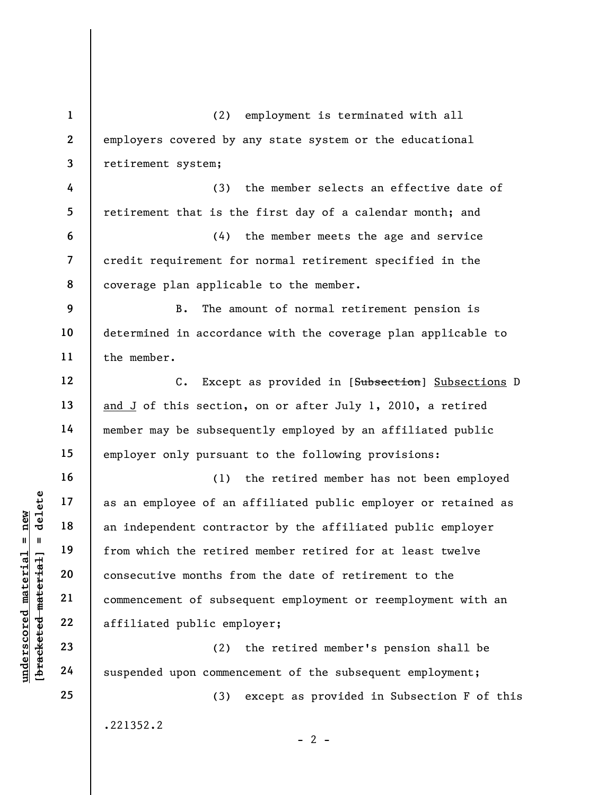underscored material = new [bracketed material] = delete 1 2 3 4 5 6 7 8 9 10 11 12 13 14 15 16 17 18 19 20 21 22 23 24 25 (2) employment is terminated with all employers covered by any state system or the educational retirement system; (3) the member selects an effective date of retirement that is the first day of a calendar month; and (4) the member meets the age and service credit requirement for normal retirement specified in the coverage plan applicable to the member. B. The amount of normal retirement pension is determined in accordance with the coverage plan applicable to the member. C. Except as provided in [Subsection] Subsections D and J of this section, on or after July 1, 2010, a retired member may be subsequently employed by an affiliated public employer only pursuant to the following provisions: (1) the retired member has not been employed as an employee of an affiliated public employer or retained as an independent contractor by the affiliated public employer from which the retired member retired for at least twelve consecutive months from the date of retirement to the commencement of subsequent employment or reemployment with an affiliated public employer; (2) the retired member's pension shall be suspended upon commencement of the subsequent employment; (3) except as provided in Subsection F of this .221352.2

 $- 2 -$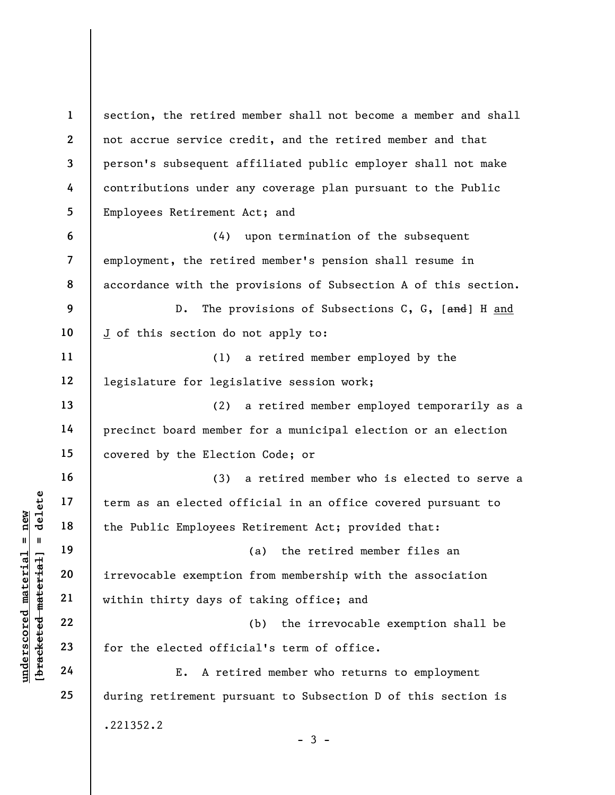underscored material = new [bracketed material] = delete 1 2 3 4 5 6 7 8 9 10 11 12 13 14 15 16 17 18 19 20 21 22 23 24 25 section, the retired member shall not become a member and shall not accrue service credit, and the retired member and that person's subsequent affiliated public employer shall not make contributions under any coverage plan pursuant to the Public Employees Retirement Act; and (4) upon termination of the subsequent employment, the retired member's pension shall resume in accordance with the provisions of Subsection A of this section. D. The provisions of Subsections C, G, [and] H and J of this section do not apply to: (1) a retired member employed by the legislature for legislative session work; (2) a retired member employed temporarily as a precinct board member for a municipal election or an election covered by the Election Code; or (3) a retired member who is elected to serve a term as an elected official in an office covered pursuant to the Public Employees Retirement Act; provided that: (a) the retired member files an irrevocable exemption from membership with the association within thirty days of taking office; and (b) the irrevocable exemption shall be for the elected official's term of office. E. A retired member who returns to employment during retirement pursuant to Subsection D of this section is .221352.2  $-3 -$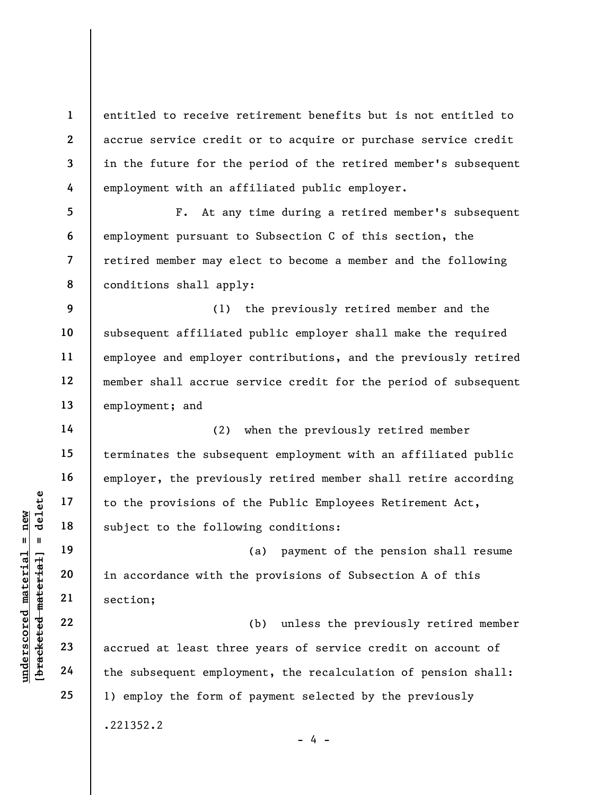entitled to receive retirement benefits but is not entitled to accrue service credit or to acquire or purchase service credit in the future for the period of the retired member's subsequent employment with an affiliated public employer.

5 6 7 8 F. At any time during a retired member's subsequent employment pursuant to Subsection C of this section, the retired member may elect to become a member and the following conditions shall apply:

9 10 11 12 13 (1) the previously retired member and the subsequent affiliated public employer shall make the required employee and employer contributions, and the previously retired member shall accrue service credit for the period of subsequent employment; and

(2) when the previously retired member terminates the subsequent employment with an affiliated public employer, the previously retired member shall retire according to the provisions of the Public Employees Retirement Act, subject to the following conditions:

(a) payment of the pension shall resume in accordance with the provisions of Subsection A of this section;

understand material material subject to the follow<br>
understand material subject to the follow<br>
understandent material section;<br>
22<br>
understand material section;<br>
22<br>
24<br>
the subsequent employ (b) unless the previously retired member accrued at least three years of service credit on account of the subsequent employment, the recalculation of pension shall: 1) employ the form of payment selected by the previously .221352.2

1

2

3

4

14

15

16

17

18

19

20

21

22

23

24

25

 $- 4 -$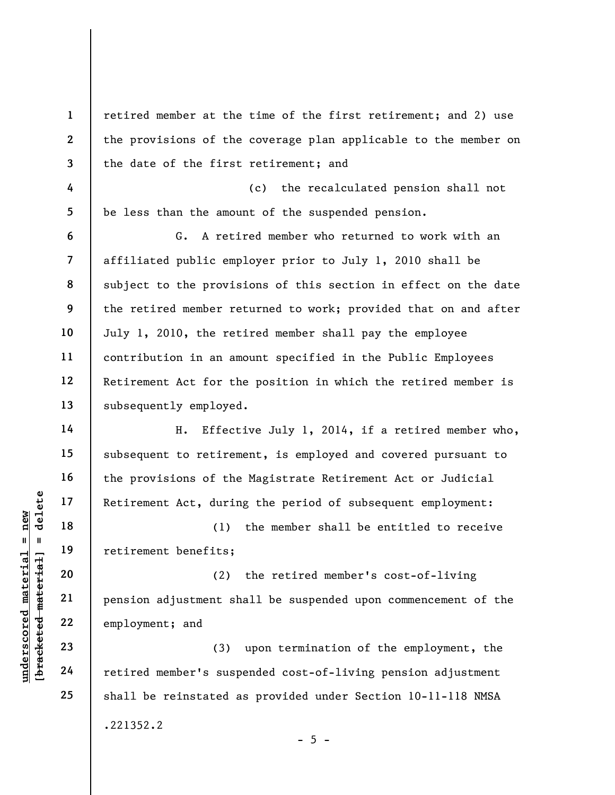underscored material material specific material and the specific material of the specific material control of the specific material control of the specific material control of the specific material control of the specific 1 2 3 4 5 6 7 8 9 10 11 12 13 14 15 16 17 18 19 20 21 22 23 24 25 retired member at the time of the first retirement; and 2) use the provisions of the coverage plan applicable to the member on the date of the first retirement; and (c) the recalculated pension shall not be less than the amount of the suspended pension. G. A retired member who returned to work with an affiliated public employer prior to July 1, 2010 shall be subject to the provisions of this section in effect on the date the retired member returned to work; provided that on and after July 1, 2010, the retired member shall pay the employee contribution in an amount specified in the Public Employees Retirement Act for the position in which the retired member is subsequently employed. H. Effective July 1, 2014, if a retired member who, subsequent to retirement, is employed and covered pursuant to the provisions of the Magistrate Retirement Act or Judicial Retirement Act, during the period of subsequent employment: (1) the member shall be entitled to receive retirement benefits; (2) the retired member's cost-of-living pension adjustment shall be suspended upon commencement of the employment; and (3) upon termination of the employment, the retired member's suspended cost-of-living pension adjustment shall be reinstated as provided under Section 10-11-118 NMSA

.221352.2

 $- 5 -$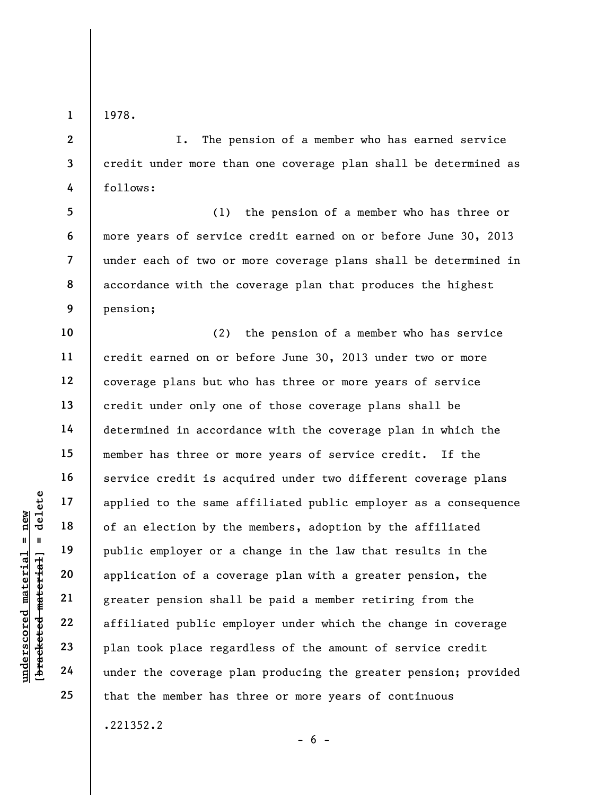1978.

1

2

3

4

I. The pension of a member who has earned service credit under more than one coverage plan shall be determined as follows:

5 6 7 8 9 (1) the pension of a member who has three or more years of service credit earned on or before June 30, 2013 under each of two or more coverage plans shall be determined in accordance with the coverage plan that produces the highest pension;

under the Coverage plants of a single material of an election by the<br>
material of an election by the<br>
public employer or a<br>
public employer or a<br>
application of a cove<br>
greater pension shall<br>
affiliated public employer<br>
23 10 11 12 13 14 15 16 17 18 19 20 21 22 23 24 25 (2) the pension of a member who has service credit earned on or before June 30, 2013 under two or more coverage plans but who has three or more years of service credit under only one of those coverage plans shall be determined in accordance with the coverage plan in which the member has three or more years of service credit. If the service credit is acquired under two different coverage plans applied to the same affiliated public employer as a consequence of an election by the members, adoption by the affiliated public employer or a change in the law that results in the application of a coverage plan with a greater pension, the greater pension shall be paid a member retiring from the affiliated public employer under which the change in coverage plan took place regardless of the amount of service credit under the coverage plan producing the greater pension; provided that the member has three or more years of continuous

.221352.2

 $- 6 -$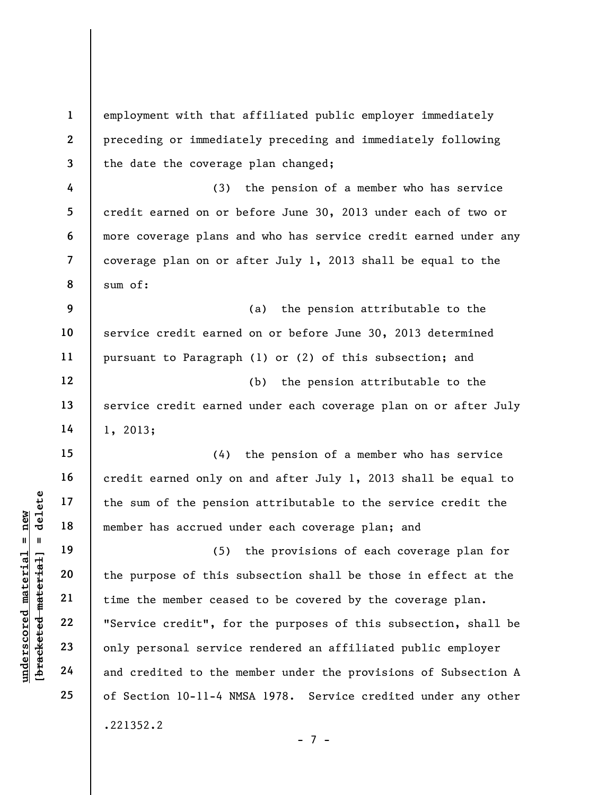underscored material = new [bracketed material] = delete 1 2 3 4 5 6 7 8 9 10 11 12 13 14 15 16 17 18 19 20 21 22 23 24 25 employment with that affiliated public employer immediately preceding or immediately preceding and immediately following the date the coverage plan changed; (3) the pension of a member who has service credit earned on or before June 30, 2013 under each of two or more coverage plans and who has service credit earned under any coverage plan on or after July 1, 2013 shall be equal to the sum of: (a) the pension attributable to the service credit earned on or before June 30, 2013 determined pursuant to Paragraph (1) or (2) of this subsection; and (b) the pension attributable to the service credit earned under each coverage plan on or after July 1, 2013; (4) the pension of a member who has service credit earned only on and after July 1, 2013 shall be equal to the sum of the pension attributable to the service credit the member has accrued under each coverage plan; and (5) the provisions of each coverage plan for the purpose of this subsection shall be those in effect at the time the member ceased to be covered by the coverage plan. "Service credit", for the purposes of this subsection, shall be only personal service rendered an affiliated public employer and credited to the member under the provisions of Subsection A of Section 10-11-4 NMSA 1978. Service credited under any other .221352.2

- 7 -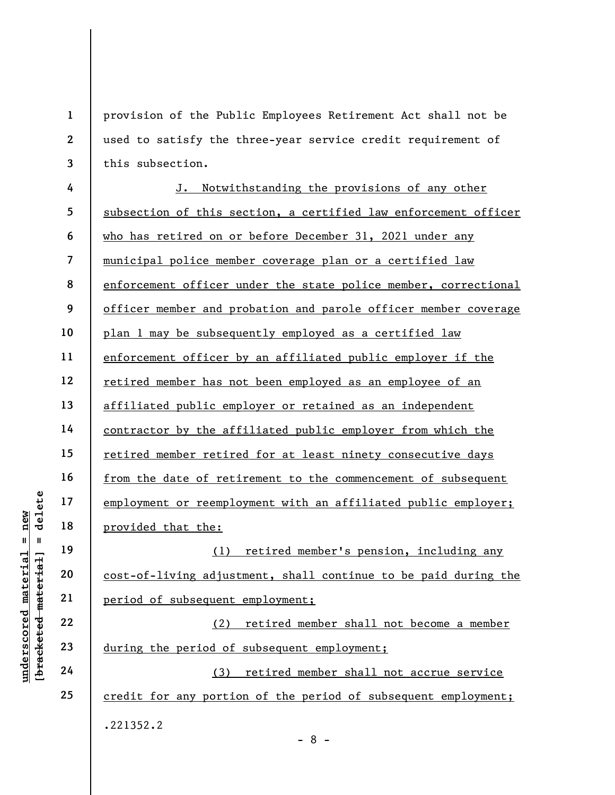underscored material = new [bracketed material] = delete 1 2 3 4 5 6 7 8 9 10 11 12 13 14 15 16 17 18 19 20 21 22 23 24 25 provision of the Public Employees Retirement Act shall not be used to satisfy the three-year service credit requirement of this subsection. J. Notwithstanding the provisions of any other subsection of this section, a certified law enforcement officer who has retired on or before December 31, 2021 under any municipal police member coverage plan or a certified law enforcement officer under the state police member, correctional officer member and probation and parole officer member coverage plan 1 may be subsequently employed as a certified law enforcement officer by an affiliated public employer if the retired member has not been employed as an employee of an affiliated public employer or retained as an independent contractor by the affiliated public employer from which the retired member retired for at least ninety consecutive days from the date of retirement to the commencement of subsequent employment or reemployment with an affiliated public employer; provided that the: (1) retired member's pension, including any cost-of-living adjustment, shall continue to be paid during the period of subsequent employment; (2) retired member shall not become a member during the period of subsequent employment; (3) retired member shall not accrue service credit for any portion of the period of subsequent employment; .221352.2

- 8 -